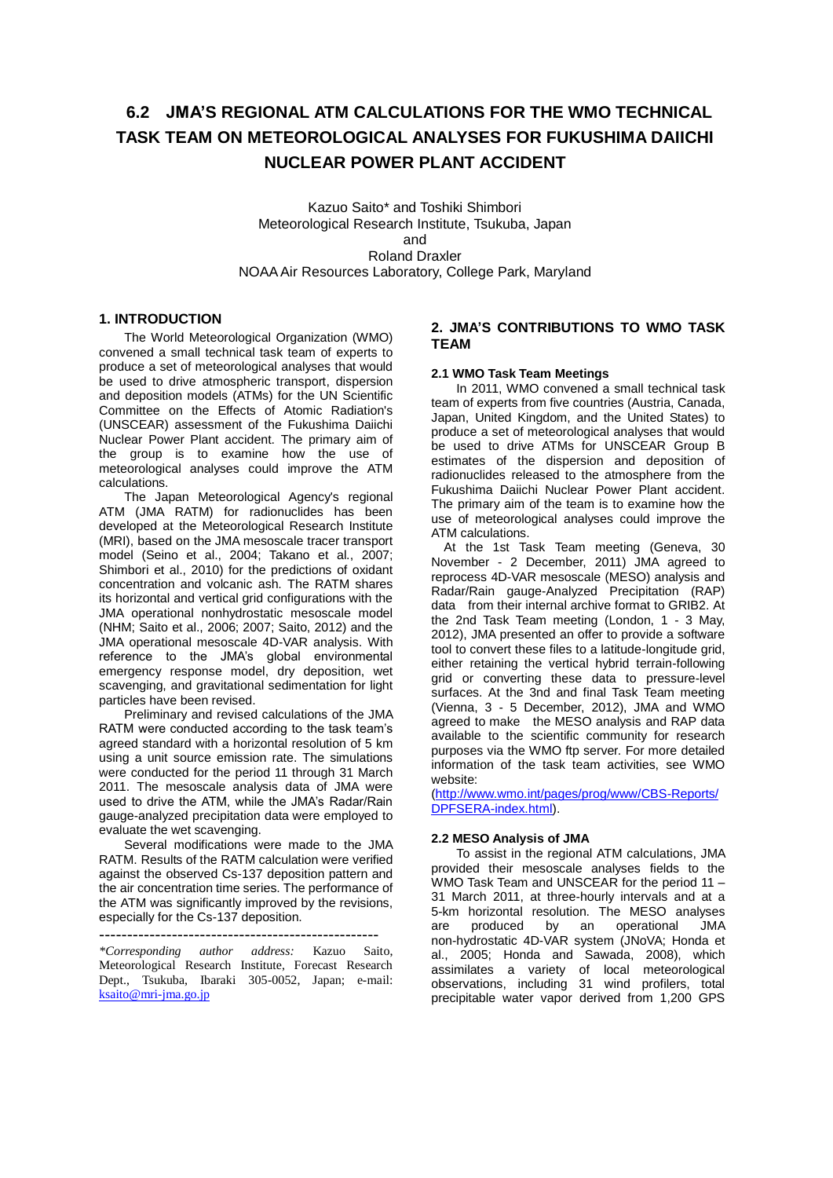# **6.2 JMA'S REGIONAL ATM CALCULATIONS FOR THE WMO TECHNICAL TASK TEAM ON METEOROLOGICAL ANALYSES FOR FUKUSHIMA DAIICHI NUCLEAR POWER PLANT ACCIDENT**

Kazuo Saito\* and Toshiki Shimbori Meteorological Research Institute, Tsukuba, Japan and Roland Draxler NOAA Air Resources Laboratory, College Park, Maryland

## **1. INTRODUCTION**

The World Meteorological Organization (WMO) convened a small technical task team of experts to produce a set of meteorological analyses that would be used to drive atmospheric transport, dispersion and deposition models (ATMs) for the UN Scientific Committee on the Effects of Atomic Radiation's (UNSCEAR) assessment of the Fukushima Daiichi Nuclear Power Plant accident. The primary aim of the group is to examine how the use of meteorological analyses could improve the ATM calculations.

The Japan Meteorological Agency's regional ATM (JMA RATM) for radionuclides has been developed at the Meteorological Research Institute (MRI), based on the JMA mesoscale tracer transport model (Seino et al., 2004; Takano et al., 2007; Shimbori et al., 2010) for the predictions of oxidant concentration and volcanic ash. The RATM shares its horizontal and vertical grid configurations with the JMA operational nonhydrostatic mesoscale model (NHM; Saito et al., 2006; 2007; Saito, 2012) and the JMA operational mesoscale 4D-VAR analysis. With reference to the JMA's global environmental emergency response model, dry deposition, wet scavenging, and gravitational sedimentation for light particles have been revised.

Preliminary and revised calculations of the JMA RATM were conducted according to the task team's agreed standard with a horizontal resolution of 5 km using a unit source emission rate. The simulations were conducted for the period 11 through 31 March 2011. The mesoscale analysis data of JMA were used to drive the ATM, while the JMA's Radar/Rain gauge-analyzed precipitation data were employed to evaluate the wet scavenging.

Several modifications were made to the JMA RATM. Results of the RATM calculation were verified against the observed Cs-137 deposition pattern and the air concentration time series. The performance of the ATM was significantly improved by the revisions, especially for the Cs-137 deposition.

*\*Corresponding author address:* Kazuo Saito, Meteorological Research Institute, Forecast Research Dept., Tsukuba, Ibaraki 305-0052, Japan; e-mail: [ksaito@mri-jma.go.jp](mailto:ksaito@mri-jma.go.jp)

## **2. JMA'S CONTRIBUTIONS TO WMO TASK TEAM**

#### **2.1 WMO Task Team Meetings**

In 2011, WMO convened a small technical task team of experts from five countries (Austria, Canada, Japan, United Kingdom, and the United States) to produce a set of meteorological analyses that would be used to drive ATMs for UNSCEAR Group B estimates of the dispersion and deposition of radionuclides released to the atmosphere from the Fukushima Daiichi Nuclear Power Plant accident. The primary aim of the team is to examine how the use of meteorological analyses could improve the ATM calculations.

At the 1st Task Team meeting (Geneva, 30 November - 2 December, 2011) JMA agreed to reprocess 4D-VAR mesoscale (MESO) analysis and Radar/Rain gauge-Analyzed Precipitation (RAP) data from their internal archive format to GRIB2. At the 2nd Task Team meeting (London, 1 - 3 May, 2012), JMA presented an offer to provide a software tool to convert these files to a latitude-longitude grid, either retaining the vertical hybrid terrain-following grid or converting these data to pressure-level surfaces. At the 3nd and final Task Team meeting (Vienna, 3 - 5 December, 2012), JMA and WMO agreed to make the MESO analysis and RAP data available to the scientific community for research purposes via the WMO ftp server. For more detailed information of the task team activities, see WMO website:

[\(http://www.wmo.int/pages/prog/www/CBS-Reports/](http://www.wmo.int/pages/prog/www/CBS-Reports/DPFSERA-index.html) [DPFSERA-index.html\)](http://www.wmo.int/pages/prog/www/CBS-Reports/DPFSERA-index.html).

#### **2.2 MESO Analysis of JMA**

To assist in the regional ATM calculations, JMA provided their mesoscale analyses fields to the WMO Task Team and UNSCEAR for the period 11 – 31 March 2011, at three-hourly intervals and at a 5-km horizontal resolution. The MESO analyses are produced by an operational JMA non-hydrostatic 4D-VAR system (JNoVA; Honda et al., 2005; Honda and Sawada, 2008), which assimilates a variety of local meteorological observations, including 31 wind profilers, total precipitable water vapor derived from 1,200 GPS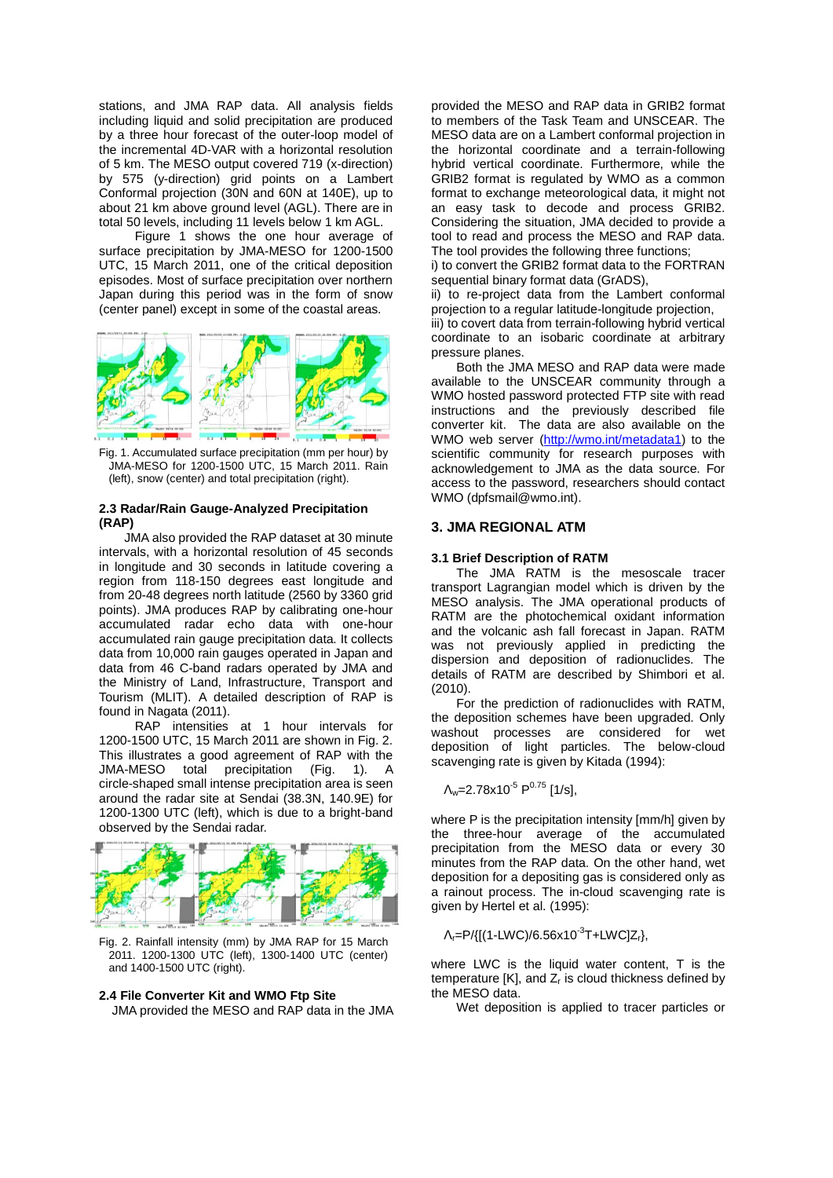stations, and JMA RAP data. All analysis fields including liquid and solid precipitation are produced by a three hour forecast of the outer-loop model of the incremental 4D-VAR with a horizontal resolution of 5 km. The MESO output covered 719 (x-direction) by 575 (y-direction) grid points on a Lambert Conformal projection (30N and 60N at 140E), up to about 21 km above ground level (AGL). There are in total 50 levels, including 11 levels below 1 km AGL.

Figure 1 shows the one hour average of surface precipitation by JMA-MESO for 1200-1500 UTC, 15 March 2011, one of the critical deposition episodes. Most of surface precipitation over northern Japan during this period was in the form of snow (center panel) except in some of the coastal areas.



Fig. 1. Accumulated surface precipitation (mm per hour) by JMA-MESO for 1200-1500 UTC, 15 March 2011. Rain (left), snow (center) and total precipitation (right).

#### **2.3 Radar/Rain Gauge-Analyzed Precipitation (RAP)**

JMA also provided the RAP dataset at 30 minute intervals, with a horizontal resolution of 45 seconds in longitude and 30 seconds in latitude covering a region from 118-150 degrees east longitude and from 20-48 degrees north latitude (2560 by 3360 grid points). JMA produces RAP by calibrating one-hour accumulated radar echo data with one-hour accumulated rain gauge precipitation data. It collects data from 10,000 rain gauges operated in Japan and data from 46 C-band radars operated by JMA and the Ministry of Land, Infrastructure, Transport and Tourism (MLIT). A detailed description of RAP is found in Nagata (2011).

RAP intensities at 1 hour intervals for 1200-1500 UTC, 15 March 2011 are shown in Fig. 2. This illustrates a good agreement of RAP with the JMA-MESO total precipitation (Fig. 1). circle-shaped small intense precipitation area is seen around the radar site at Sendai (38.3N, 140.9E) for 1200-1300 UTC (left), which is due to a bright-band observed by the Sendai radar.



Fig. 2. Rainfall intensity (mm) by JMA RAP for 15 March 2011. 1200-1300 UTC (left), 1300-1400 UTC (center) and 1400-1500 UTC (right).

## **2.4 File Converter Kit and WMO Ftp Site**

JMA provided the MESO and RAP data in the JMA

provided the MESO and RAP data in GRIB2 format to members of the Task Team and UNSCEAR. The MESO data are on a Lambert conformal projection in the horizontal coordinate and a terrain-following hybrid vertical coordinate. Furthermore, while the GRIB2 format is regulated by WMO as a common format to exchange meteorological data, it might not an easy task to decode and process GRIB2. Considering the situation, JMA decided to provide a tool to read and process the MESO and RAP data. The tool provides the following three functions;

i) to convert the GRIB2 format data to the FORTRAN sequential binary format data (GrADS),

ii) to re-project data from the Lambert conformal projection to a regular latitude-longitude projection, iii) to covert data from terrain-following hybrid vertical coordinate to an isobaric coordinate at arbitrary pressure planes.

Both the JMA MESO and RAP data were made available to the UNSCEAR community through a WMO hosted password protected FTP site with read instructions and the previously described file converter kit. The data are also available on the WMO web server [\(http://wmo.int/metadata1\)](http://wmo.int/metadata1) to the scientific community for research purposes with acknowledgement to JMA as the data source. For access to the password, researchers should contact WMO (dpfsmail@wmo.int).

## **3. JMA REGIONAL ATM**

#### **3.1 Brief Description of RATM**

The JMA RATM is the mesoscale tracer transport Lagrangian model which is driven by the MESO analysis. The JMA operational products of RATM are the photochemical oxidant information and the volcanic ash fall forecast in Japan. RATM was not previously applied in predicting the dispersion and deposition of radionuclides. The details of RATM are described by Shimbori et al. (2010).

For the prediction of radionuclides with RATM, the deposition schemes have been upgraded. Only washout processes are considered for wet deposition of light particles. The below-cloud scavenging rate is given by Kitada (1994):

$$
\Lambda_w = 2.78 \times 10^{-5} \, P^{0.75} \, [1/s],
$$

where P is the precipitation intensity [mm/h] given by the three-hour average of the accumulated precipitation from the MESO data or every 30 minutes from the RAP data. On the other hand, wet deposition for a depositing gas is considered only as a rainout process. The in-cloud scavenging rate is given by Hertel et al. (1995):

Λ<sub>r</sub>=P/{[(1-LWC)/6.56x10<sup>-3</sup>T+LWC]Z<sub>r</sub>},

where LWC is the liquid water content, T is the  $temperature [K]$ , and  $Z<sub>r</sub>$  is cloud thickness defined by the MESO data.

Wet deposition is applied to tracer particles or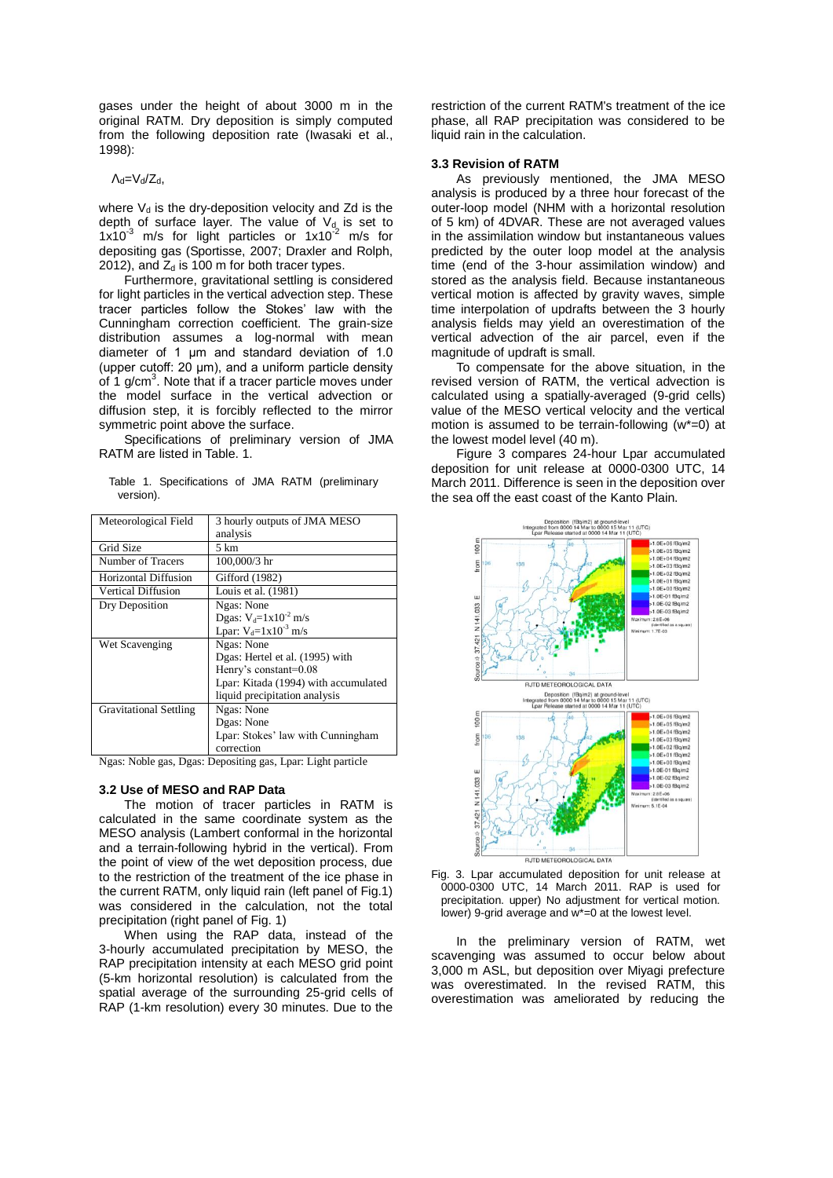gases under the height of about 3000 m in the original RATM. Dry deposition is simply computed from the following deposition rate (Iwasaki et al., 1998):

## $\Lambda_d = V_d/Z_d$ ,

where  $V_d$  is the dry-deposition velocity and Zd is the depth of surface layer. The value of  $V<sub>d</sub>$  is set to  $1x10^{-3}$  m/s for light particles or  $1x10^{-2}$  m/s for depositing gas (Sportisse, 2007; Draxler and Rolph, 2012), and  $Z_d$  is 100 m for both tracer types.

Furthermore, gravitational settling is considered for light particles in the vertical advection step. These tracer particles follow the Stokes' law with the Cunningham correction coefficient. The grain-size distribution assumes a log-normal with mean diameter of 1 μm and standard deviation of 1.0 (upper cutoff: 20 μm), and a uniform particle density of 1  $g/cm<sup>3</sup>$ . Note that if a tracer particle moves under the model surface in the vertical advection or diffusion step, it is forcibly reflected to the mirror symmetric point above the surface.

Specifications of preliminary version of JMA RATM are listed in Table. 1.

|           | Table 1. Specifications of JMA RATM (preliminary |  |  |
|-----------|--------------------------------------------------|--|--|
| version). |                                                  |  |  |

| Meteorological Field          | 3 hourly outputs of JMA MESO         |
|-------------------------------|--------------------------------------|
|                               | analysis                             |
| Grid Size                     | 5 km                                 |
| Number of Tracers             | 100,000/3 hr                         |
| Horizontal Diffusion          | Gifford (1982)                       |
| Vertical Diffusion            | Louis et al. (1981)                  |
| Dry Deposition                | Ngas: None                           |
|                               | Dgas: $V_d = 1 \times 10^{-2}$ m/s   |
|                               | Lpar: $V_d = 1 \times 10^{-3}$ m/s   |
| Wet Scavenging                | Ngas: None                           |
|                               | Dgas: Hertel et al. (1995) with      |
|                               | Henry's constant=0.08                |
|                               | Lpar: Kitada (1994) with accumulated |
|                               | liquid precipitation analysis        |
| <b>Gravitational Settling</b> | Ngas: None                           |
|                               | Dgas: None                           |
|                               | Lpar: Stokes' law with Cunningham    |
|                               | correction                           |

Ngas: Noble gas, Dgas: Depositing gas, Lpar: Light particle

#### **3.2 Use of MESO and RAP Data**

The motion of tracer particles in RATM is calculated in the same coordinate system as the MESO analysis (Lambert conformal in the horizontal and a terrain-following hybrid in the vertical). From the point of view of the wet deposition process, due to the restriction of the treatment of the ice phase in the current RATM, only liquid rain (left panel of Fig.1) was considered in the calculation, not the total precipitation (right panel of Fig. 1)

When using the RAP data, instead of the 3-hourly accumulated precipitation by MESO, the RAP precipitation intensity at each MESO grid point (5-km horizontal resolution) is calculated from the spatial average of the surrounding 25-grid cells of RAP (1-km resolution) every 30 minutes. Due to the restriction of the current RATM's treatment of the ice phase, all RAP precipitation was considered to be liquid rain in the calculation.

#### **3.3 Revision of RATM**

As previously mentioned, the JMA MESO analysis is produced by a three hour forecast of the outer-loop model (NHM with a horizontal resolution of 5 km) of 4DVAR. These are not averaged values in the assimilation window but instantaneous values predicted by the outer loop model at the analysis time (end of the 3-hour assimilation window) and stored as the analysis field. Because instantaneous vertical motion is affected by gravity waves, simple time interpolation of updrafts between the 3 hourly analysis fields may yield an overestimation of the vertical advection of the air parcel, even if the magnitude of updraft is small.

To compensate for the above situation, in the revised version of RATM, the vertical advection is calculated using a spatially-averaged (9-grid cells) value of the MESO vertical velocity and the vertical motion is assumed to be terrain-following  $(w^*=0)$  at the lowest model level (40 m).

Figure 3 compares 24-hour Lpar accumulated deposition for unit release at 0000-0300 UTC, 14 March 2011. Difference is seen in the deposition over the sea off the east coast of the Kanto Plain.





In the preliminary version of RATM, wet scavenging was assumed to occur below about 3,000 m ASL, but deposition over Miyagi prefecture was overestimated. In the revised RATM, this overestimation was ameliorated by reducing the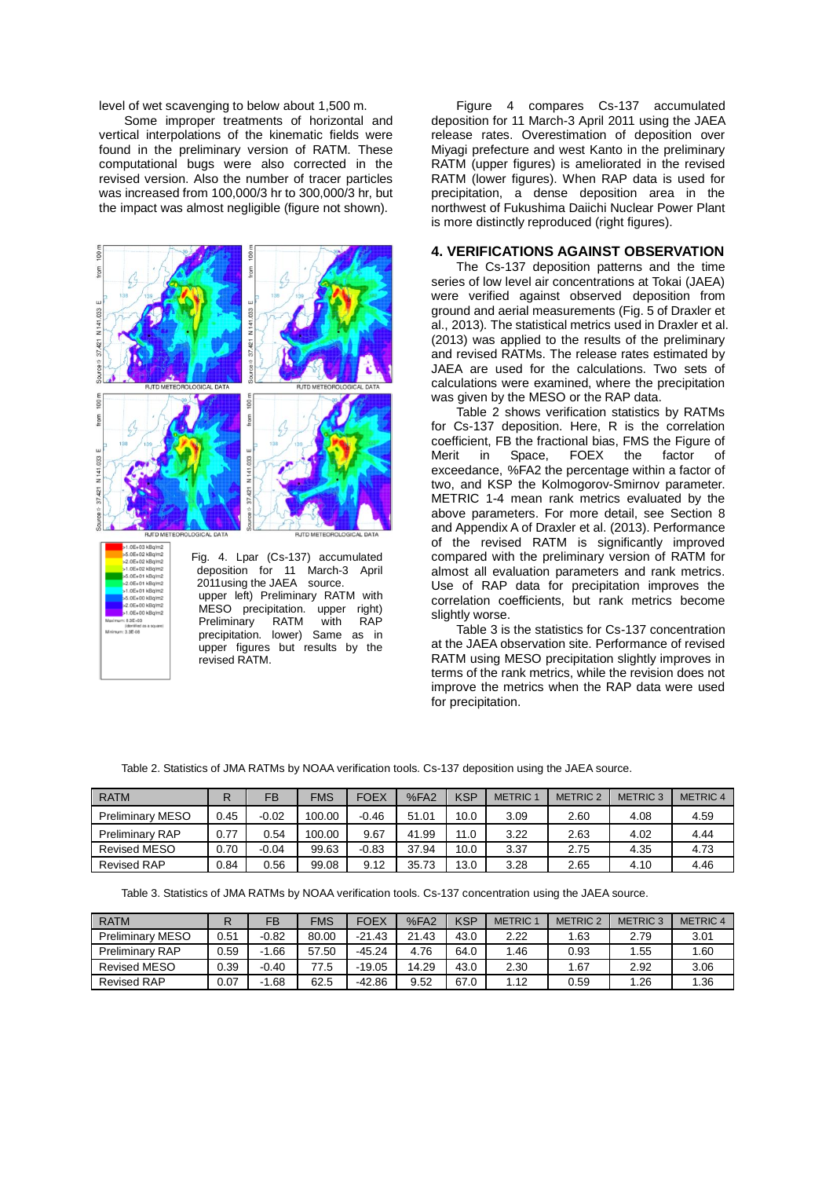level of wet scavenging to below about 1,500 m.

Some improper treatments of horizontal and vertical interpolations of the kinematic fields were found in the preliminary version of RATM. These computational bugs were also corrected in the revised version. Also the number of tracer particles was increased from 100,000/3 hr to 300,000/3 hr, but the impact was almost negligible (figure not shown).



Fig. 4. Lpar (Cs-137) accumulated deposition for 11 March-3 April 2011using the JAEA source. upper left) Preliminary RATM with MESO precipitation. upper right)<br>Preliminary RATM with RAP Preliminary precipitation. lower) Same as in upper figures but results by the revised RATM.

Figure 4 compares Cs-137 accumulated deposition for 11 March-3 April 2011 using the JAEA release rates. Overestimation of deposition over Miyagi prefecture and west Kanto in the preliminary RATM (upper figures) is ameliorated in the revised RATM (lower figures). When RAP data is used for precipitation, a dense deposition area in the northwest of Fukushima Daiichi Nuclear Power Plant is more distinctly reproduced (right figures).

## **4. VERIFICATIONS AGAINST OBSERVATION**

The Cs-137 deposition patterns and the time series of low level air concentrations at Tokai (JAEA) were verified against observed deposition from ground and aerial measurements (Fig. 5 of Draxler et al., 2013). The statistical metrics used in Draxler et al. (2013) was applied to the results of the preliminary and revised RATMs. The release rates estimated by JAEA are used for the calculations. Two sets of calculations were examined, where the precipitation was given by the MESO or the RAP data.

Table 2 shows verification statistics by RATMs for Cs-137 deposition. Here, R is the correlation coefficient, FB the fractional bias, FMS the Figure of Merit in Space, FOEX the factor of exceedance, %FA2 the percentage within a factor of two, and KSP the Kolmogorov-Smirnov parameter. METRIC 1-4 mean rank metrics evaluated by the above parameters. For more detail, see Section 8 and Appendix A of Draxler et al. (2013). Performance of the revised RATM is significantly improved compared with the preliminary version of RATM for almost all evaluation parameters and rank metrics. Use of RAP data for precipitation improves the correlation coefficients, but rank metrics become slightly worse.

Table 3 is the statistics for Cs-137 concentration at the JAEA observation site. Performance of revised RATM using MESO precipitation slightly improves in terms of the rank metrics, while the revision does not improve the metrics when the RAP data were used for precipitation.

Table 2. Statistics of JMA RATMs by NOAA verification tools. Cs-137 deposition using the JAEA source.

| <b>RATM</b>             | R    | FB      | <b>FMS</b> | <b>FOEX</b> | %FA2  | <b>KSP</b> | <b>METRIC 1</b> | <b>METRIC 2</b> | <b>METRIC 3</b> | <b>METRIC 4</b> |
|-------------------------|------|---------|------------|-------------|-------|------------|-----------------|-----------------|-----------------|-----------------|
| <b>Preliminary MESO</b> | 0.45 | $-0.02$ | 100.00     | $-0.46$     | 51.01 | 10.0       | 3.09            | 2.60            | 4.08            | 4.59            |
| <b>Preliminary RAP</b>  | 0.77 | 0.54    | 100.00     | 9.67        | 41.99 | 11.0       | 3.22            | 2.63            | 4.02            | 4.44            |
| <b>Revised MESO</b>     | 0.70 | $-0.04$ | 99.63      | $-0.83$     | 37.94 | 10.0       | 3.37            | 2.75            | 4.35            | 4.73            |
| <b>Revised RAP</b>      | 0.84 | 0.56    | 99.08      | 9.12        | 35.73 | 13.0       | 3.28            | 2.65            | 4.10            | 4.46            |

Table 3. Statistics of JMA RATMs by NOAA verification tools. Cs-137 concentration using the JAEA source.

| <b>RATM</b>             |      | FB          | <b>FMS</b> | FOEX     | %FA2  | <b>KSP</b> | <b>METRIC</b> | <b>METRIC 2</b> | <b>METRIC 3</b> | <b>METRIC 4</b> |
|-------------------------|------|-------------|------------|----------|-------|------------|---------------|-----------------|-----------------|-----------------|
| <b>Preliminary MESO</b> | 0.51 | $-0.82$     | 80.00      | $-21.43$ | 21.43 | 43.0       | 2.22          | .63             | 2.79            | 3.01            |
| <b>Preliminary RAP</b>  | 0.59 | .66<br>$-1$ | 57.50      | $-45.24$ | 4.76  | 64.0       | .46           | 0.93            | 1.55            | 1.60            |
| Revised MESO            | 0.39 | $-0.40$     | 77.5       | $-19.05$ | 14.29 | 43.0       | 2.30          | .67             | 2.92            | 3.06            |
| <b>Revised RAP</b>      | 0.07 | . 68        | 62.5       | $-42.86$ | 9.52  | 67.0       | l.12          | 0.59            | 1.26            | 1.36            |